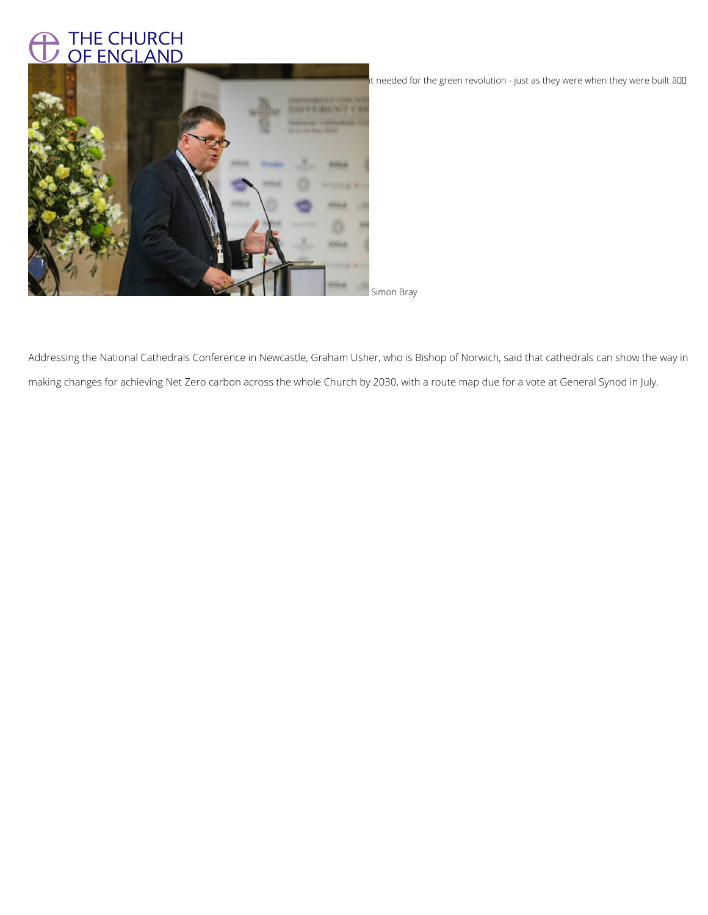## THE CHURCH<br>OF ENGLAND



It needed for the green revolution - just as they were when they were built âll

Addressing the National Cathedrals Conference in Newcastle, Graham Usher, who is Bishop of Norwich, said that cathedrals can show the way in making changes for achieving Net Zero carbon across the whole Church by 2030, with a route map due for a vote at General Synod in July.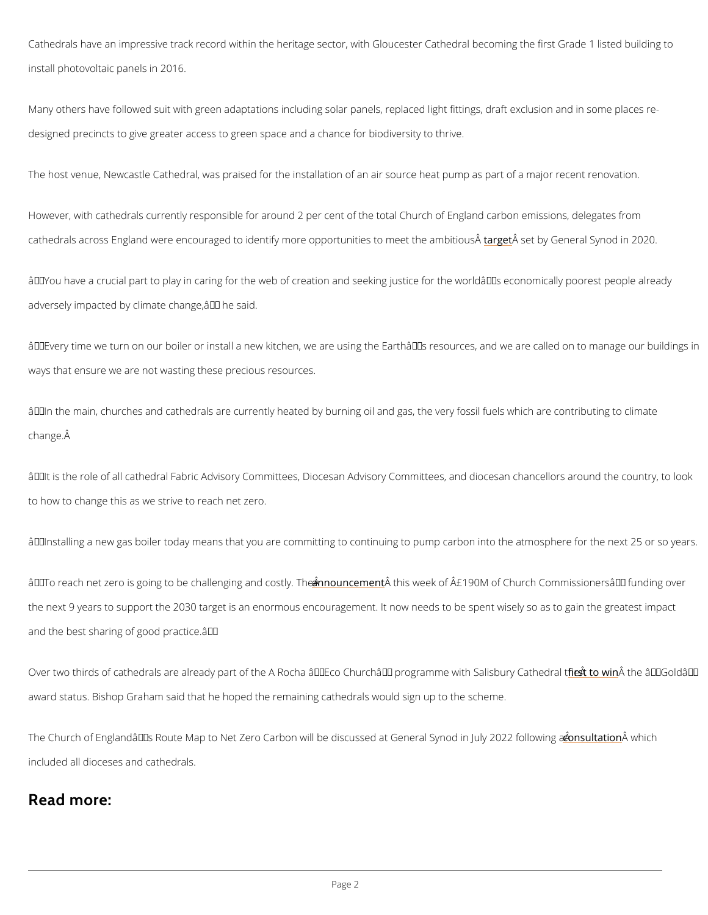Cathedrals have an impressive track record within the heritage sector, with Gloucester Cathe install photovoltaic panels in 2016.

Many others have followed suit with green adaptations including solar panels, replaced light designed precincts to give greater access to green space and a chance for biodiversity to th

The host venue, Newcastle Cathedral, was praised for the installation of an air source heat pump at  $p$ 

However, with cathedrals currently responsible for around 2 per cent of the total Church of E cathedrals across England were encouraged to identify more oplanog **Äus etti dosy tGemeealt Synaond** biinti

 $\hat{a} \in \infty$  You have a crucial part to play in caring for the web of creation and seeking justice for adversely impacted by climate change,  $a \in \cdot$  he said.

"Every time we turn on our boiler or install a new kitchen, we are using the Earth's re ways that ensure we are not wasting these precious resources.

 $\hat{a} \in \infty$  In the main, churches and cathedrals are currently heated by burning oil and gas, the ve change.  $\hat{A}$ 

 $\hat{\mathbf{a}} \in \mathbf{\infty}$  It is the role of all cathedral Fabric Advisory Committees, Diocesan Advisory Committees to how to change this as we strive to reach net zero.

 $\hat{a} \in \infty$ Installing a new gas boiler today means that you are committing to continuing to pump ca

 $\hat{a} \in \infty$  To reach net zero is going to be cheanlheonugnionegm $\hat{a}$ eentmotisowsteleyk. The  $\hat{A\hat{A}}$ £190M of Church Commissio the next 9 years to support the 2030 target is an enormous encouragement. It now needs to b and the best sharing of good practice.  $\hat{a} \in \bullet$ 

Over two thirds of cathedrals are already part of the A Rocha â€~Eco Chu<u>rfochstet™ A</u>ppr**a**fnnGeo

award status. Bishop Graham said that he hoped the remaining cathedrals would sign up to th

The Church of England's Route Map to Net Zero Carbon will be discussed saut t@âbinowenhiadhSyno

included all dioceses and cathedrals.

Read more: